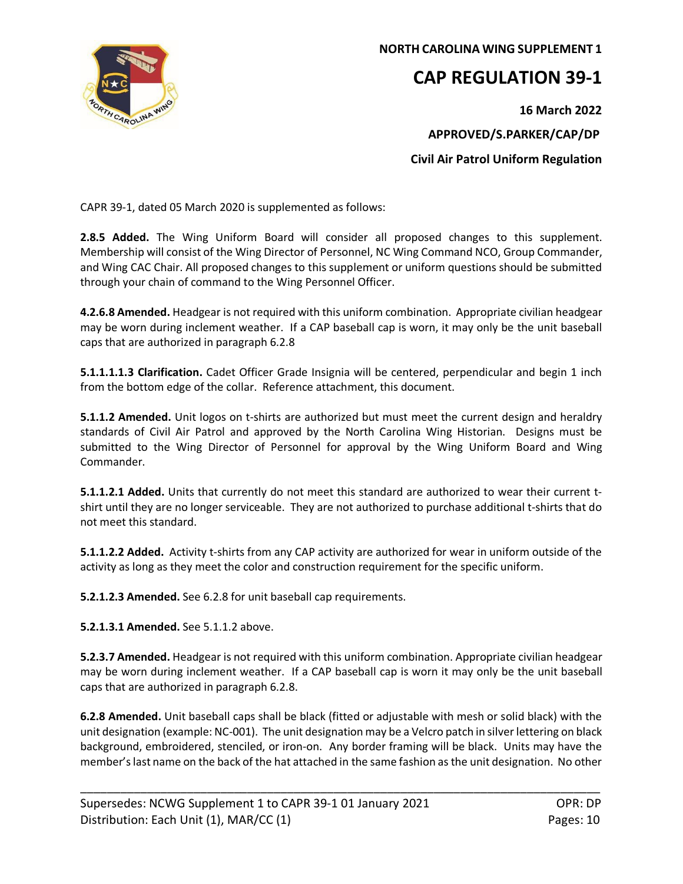

## **NORTH CAROLINA WING SUPPLEMENT 1**

# **CAP REGULATION 39-1**

 **16 March 2022 APPROVED/S.PARKER/CAP/DP Civil Air Patrol Uniform Regulation**

CAPR 39-1, dated 05 March 2020 is supplemented as follows:

**2.8.5 Added.** The Wing Uniform Board will consider all proposed changes to this supplement. Membership will consist of the Wing Director of Personnel, NC Wing Command NCO, Group Commander, and Wing CAC Chair. All proposed changes to this supplement or uniform questions should be submitted through your chain of command to the Wing Personnel Officer.

**4.2.6.8 Amended.** Headgear is not required with this uniform combination. Appropriate civilian headgear may be worn during inclement weather. If a CAP baseball cap is worn, it may only be the unit baseball caps that are authorized in paragraph 6.2.8

**5.1.1.1.1.3 Clarification.** Cadet Officer Grade Insignia will be centered, perpendicular and begin 1 inch from the bottom edge of the collar. Reference attachment, this document.

**5.1.1.2 Amended.** Unit logos on t-shirts are authorized but must meet the current design and heraldry standards of Civil Air Patrol and approved by the North Carolina Wing Historian. Designs must be submitted to the Wing Director of Personnel for approval by the Wing Uniform Board and Wing Commander.

**5.1.1.2.1 Added.** Units that currently do not meet this standard are authorized to wear their current tshirt until they are no longer serviceable. They are not authorized to purchase additional t-shirts that do not meet this standard.

**5.1.1.2.2 Added.** Activity t-shirts from any CAP activity are authorized for wear in uniform outside of the activity as long as they meet the color and construction requirement for the specific uniform.

**5.2.1.2.3 Amended.** See 6.2.8 for unit baseball cap requirements.

**5.2.1.3.1 Amended.** See 5.1.1.2 above.

**5.2.3.7 Amended.** Headgear is not required with this uniform combination. Appropriate civilian headgear may be worn during inclement weather. If a CAP baseball cap is worn it may only be the unit baseball caps that are authorized in paragraph 6.2.8.

**6.2.8 Amended.** Unit baseball caps shall be black (fitted or adjustable with mesh or solid black) with the unit designation (example: NC-001). The unit designation may be a Velcro patch in silver lettering on black background, embroidered, stenciled, or iron-on. Any border framing will be black. Units may have the member's last name on the back of the hat attached in the same fashion as the unit designation. No other

\_\_\_\_\_\_\_\_\_\_\_\_\_\_\_\_\_\_\_\_\_\_\_\_\_\_\_\_\_\_\_\_\_\_\_\_\_\_\_\_\_\_\_\_\_\_\_\_\_\_\_\_\_\_\_\_\_\_\_\_\_\_\_\_\_\_\_\_\_\_\_\_\_\_\_\_\_\_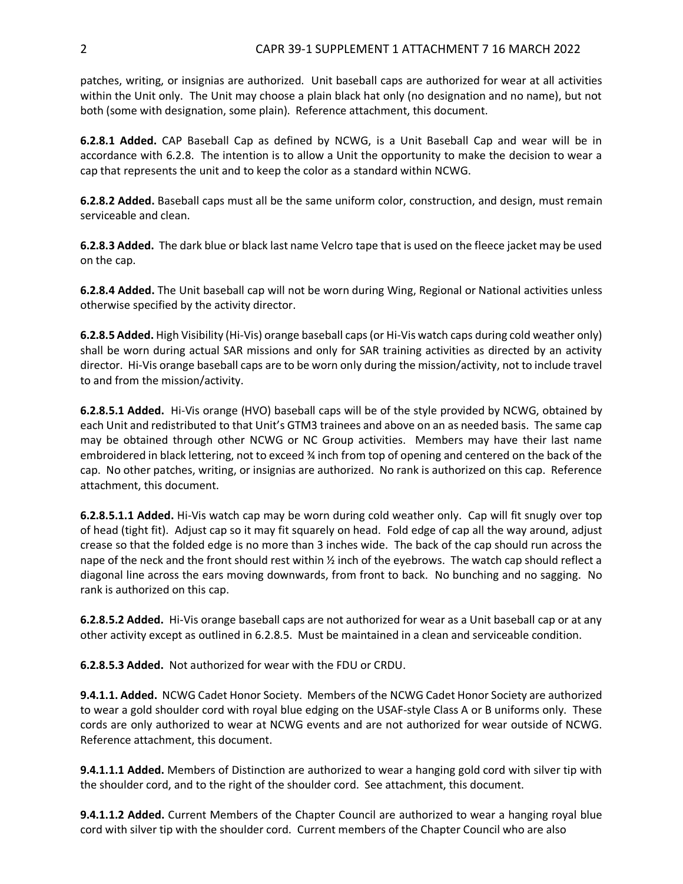patches, writing, or insignias are authorized. Unit baseball caps are authorized for wear at all activities within the Unit only. The Unit may choose a plain black hat only (no designation and no name), but not both (some with designation, some plain). Reference attachment, this document.

**6.2.8.1 Added.** CAP Baseball Cap as defined by NCWG, is a Unit Baseball Cap and wear will be in accordance with 6.2.8. The intention is to allow a Unit the opportunity to make the decision to wear a cap that represents the unit and to keep the color as a standard within NCWG.

**6.2.8.2 Added.** Baseball caps must all be the same uniform color, construction, and design, must remain serviceable and clean.

**6.2.8.3 Added.** The dark blue or black last name Velcro tape that is used on the fleece jacket may be used on the cap.

**6.2.8.4 Added.** The Unit baseball cap will not be worn during Wing, Regional or National activities unless otherwise specified by the activity director.

**6.2.8.5 Added.** High Visibility (Hi-Vis) orange baseball caps (or Hi-Vis watch caps during cold weather only) shall be worn during actual SAR missions and only for SAR training activities as directed by an activity director. Hi-Vis orange baseball caps are to be worn only during the mission/activity, not to include travel to and from the mission/activity.

**6.2.8.5.1 Added.** Hi-Vis orange (HVO) baseball caps will be of the style provided by NCWG, obtained by each Unit and redistributed to that Unit's GTM3 trainees and above on an as needed basis. The same cap may be obtained through other NCWG or NC Group activities. Members may have their last name embroidered in black lettering, not to exceed ¾ inch from top of opening and centered on the back of the cap. No other patches, writing, or insignias are authorized. No rank is authorized on this cap. Reference attachment, this document.

**6.2.8.5.1.1 Added.** Hi-Vis watch cap may be worn during cold weather only. Cap will fit snugly over top of head (tight fit). Adjust cap so it may fit squarely on head. Fold edge of cap all the way around, adjust crease so that the folded edge is no more than 3 inches wide. The back of the cap should run across the nape of the neck and the front should rest within ½ inch of the eyebrows. The watch cap should reflect a diagonal line across the ears moving downwards, from front to back. No bunching and no sagging. No rank is authorized on this cap.

**6.2.8.5.2 Added.** Hi-Vis orange baseball caps are not authorized for wear as a Unit baseball cap or at any other activity except as outlined in 6.2.8.5. Must be maintained in a clean and serviceable condition.

**6.2.8.5.3 Added.** Not authorized for wear with the FDU or CRDU.

**9.4.1.1. Added.** NCWG Cadet Honor Society. Members of the NCWG Cadet Honor Society are authorized to wear a gold shoulder cord with royal blue edging on the USAF-style Class A or B uniforms only. These cords are only authorized to wear at NCWG events and are not authorized for wear outside of NCWG. Reference attachment, this document.

**9.4.1.1.1 Added.** Members of Distinction are authorized to wear a hanging gold cord with silver tip with the shoulder cord, and to the right of the shoulder cord. See attachment, this document.

**9.4.1.1.2 Added.** Current Members of the Chapter Council are authorized to wear a hanging royal blue cord with silver tip with the shoulder cord. Current members of the Chapter Council who are also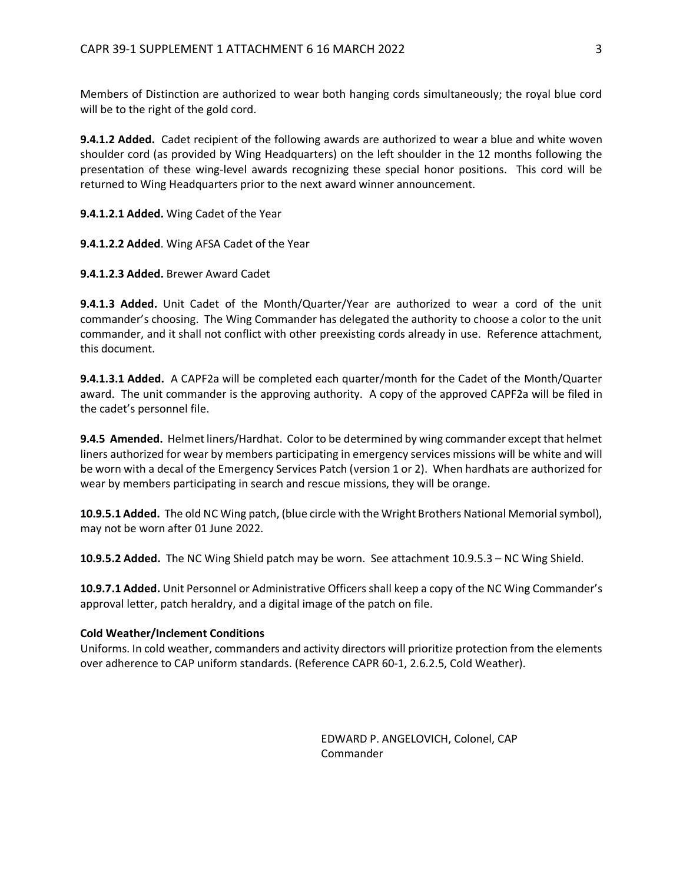Members of Distinction are authorized to wear both hanging cords simultaneously; the royal blue cord will be to the right of the gold cord.

**9.4.1.2 Added.** Cadet recipient of the following awards are authorized to wear a blue and white woven shoulder cord (as provided by Wing Headquarters) on the left shoulder in the 12 months following the presentation of these wing-level awards recognizing these special honor positions. This cord will be returned to Wing Headquarters prior to the next award winner announcement.

**9.4.1.2.1 Added.** Wing Cadet of the Year

**9.4.1.2.2 Added**. Wing AFSA Cadet of the Year

**9.4.1.2.3 Added.** Brewer Award Cadet

**9.4.1.3 Added.** Unit Cadet of the Month/Quarter/Year are authorized to wear a cord of the unit commander's choosing. The Wing Commander has delegated the authority to choose a color to the unit commander, and it shall not conflict with other preexisting cords already in use. Reference attachment, this document.

**9.4.1.3.1 Added.** A CAPF2a will be completed each quarter/month for the Cadet of the Month/Quarter award. The unit commander is the approving authority. A copy of the approved CAPF2a will be filed in the cadet's personnel file.

**9.4.5 Amended.** Helmet liners/Hardhat. Color to be determined by wing commander except that helmet liners authorized for wear by members participating in emergency services missions will be white and will be worn with a decal of the Emergency Services Patch (version 1 or 2). When hardhats are authorized for wear by members participating in search and rescue missions, they will be orange.

**10.9.5.1 Added.** The old NC Wing patch, (blue circle with the Wright Brothers National Memorial symbol), may not be worn after 01 June 2022.

**10.9.5.2 Added.** The NC Wing Shield patch may be worn. See attachment 10.9.5.3 – NC Wing Shield.

**10.9.7.1 Added.** Unit Personnel or Administrative Officers shall keep a copy of the NC Wing Commander's approval letter, patch heraldry, and a digital image of the patch on file.

#### **Cold Weather/Inclement Conditions**

Uniforms. In cold weather, commanders and activity directors will prioritize protection from the elements over adherence to CAP uniform standards. (Reference CAPR 60-1, 2.6.2.5, Cold Weather).

> EDWARD P. ANGELOVICH, Colonel, CAP Commander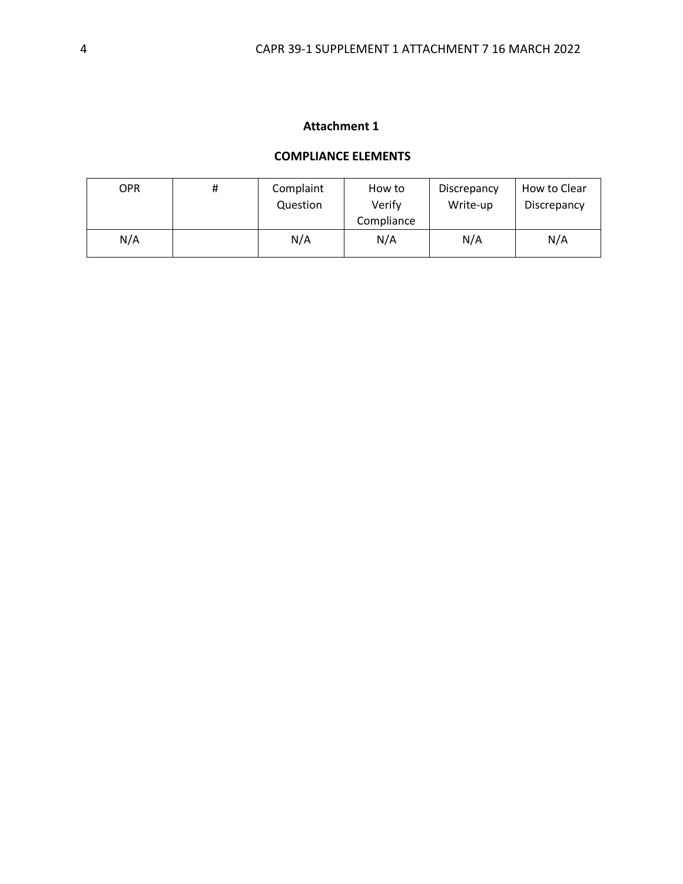## **Attachment 1**

#### **COMPLIANCE ELEMENTS**

| OPR | # | Complaint<br>Question | How to<br>Verify<br>Compliance | Discrepancy<br>Write-up | How to Clear<br>Discrepancy |
|-----|---|-----------------------|--------------------------------|-------------------------|-----------------------------|
| N/A |   | N/A                   | N/A                            | N/A                     | N/A                         |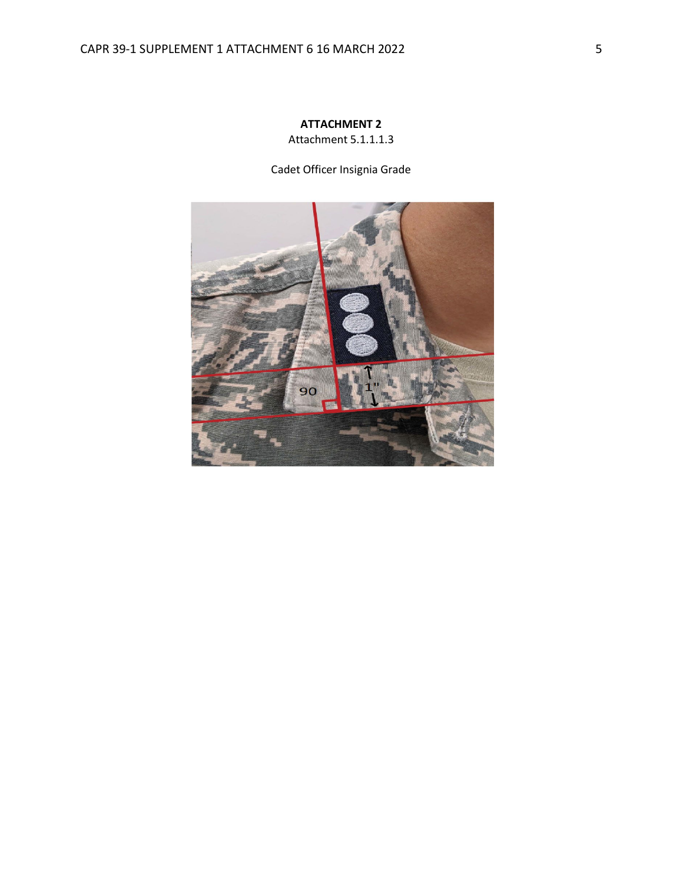## **ATTACHMENT 2** Attachment 5.1.1.1.3

Cadet Officer Insignia Grade

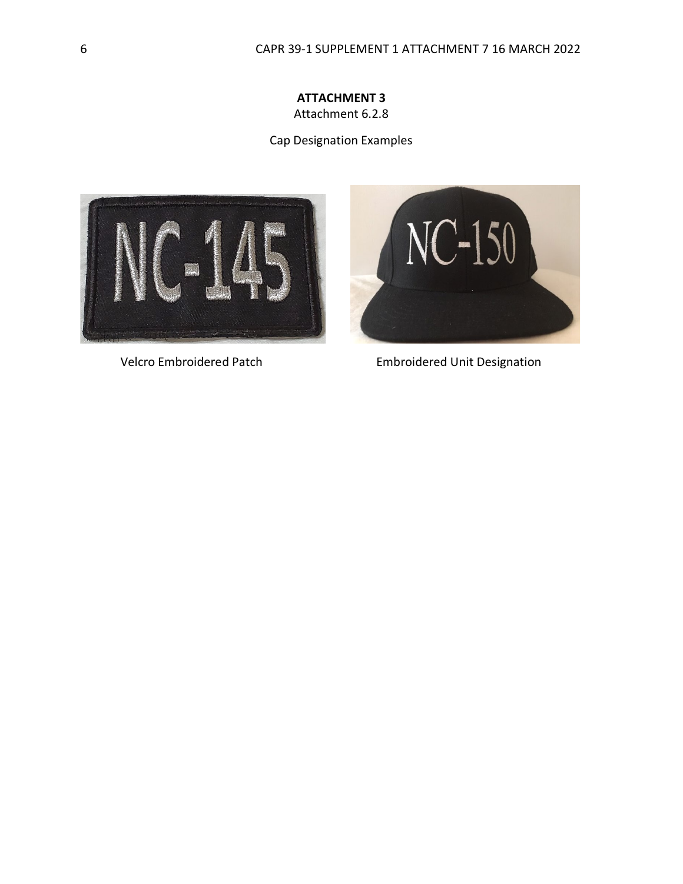### **ATTACHMENT 3** Attachment 6.2.8

Cap Designation Examples





Velcro Embroidered PatchEmbroidered Unit Designation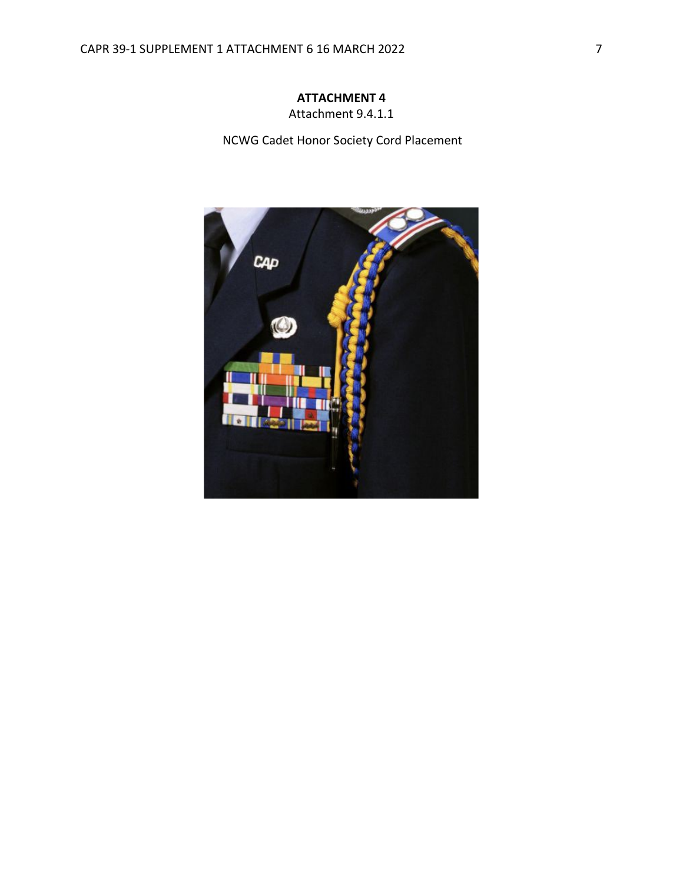Attachment 9.4.1.1

NCWG Cadet Honor Society Cord Placement

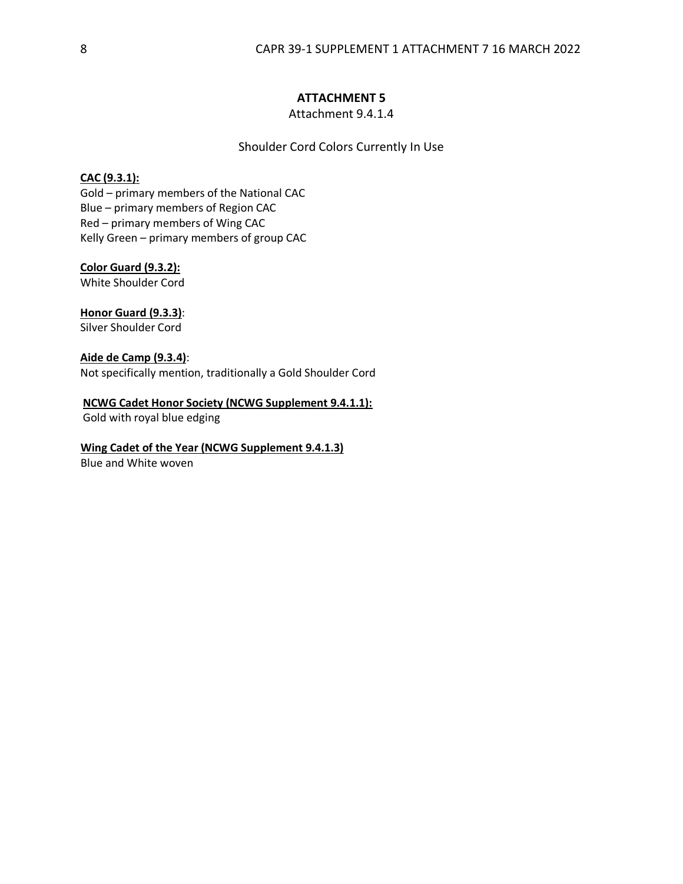Attachment 9.4.1.4

Shoulder Cord Colors Currently In Use

#### **CAC (9.3.1):**

Gold – primary members of the National CAC Blue – primary members of Region CAC Red – primary members of Wing CAC Kelly Green – primary members of group CAC

**Color Guard (9.3.2):**

White Shoulder Cord

## **Honor Guard (9.3.3)**:

Silver Shoulder Cord

**Aide de Camp (9.3.4)**: Not specifically mention, traditionally a Gold Shoulder Cord

#### **NCWG Cadet Honor Society (NCWG Supplement 9.4.1.1):**

Gold with royal blue edging

#### **Wing Cadet of the Year (NCWG Supplement 9.4.1.3)**

Blue and White woven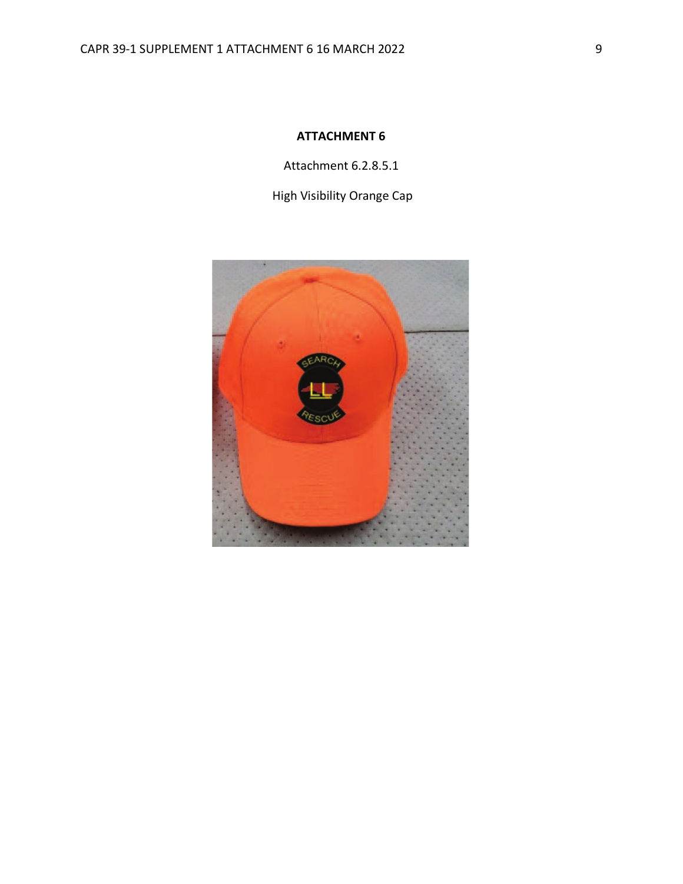Attachment 6.2.8.5.1

High Visibility Orange Cap